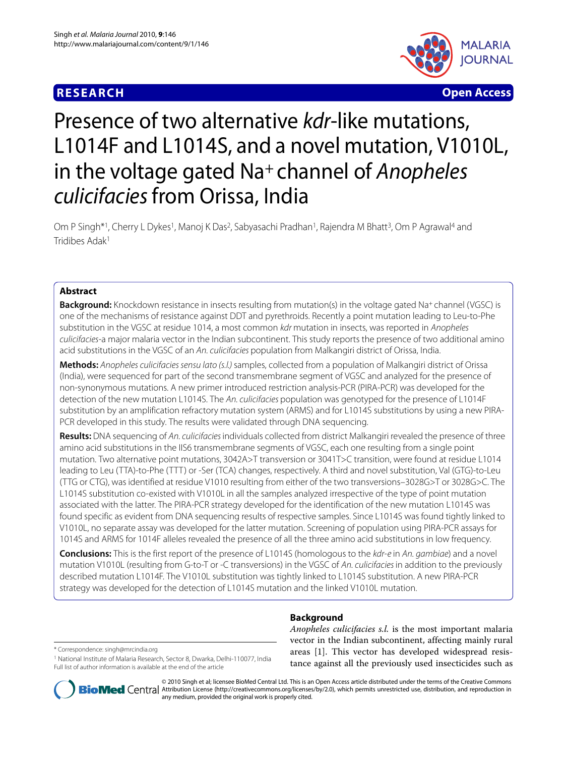# **RESEARCH Open Access**



# Presence of two alternative kdr-like mutations, L1014F and L1014S, and a novel mutation, V1010L, in the voltage gated Na<sup>+</sup> channel of Anopheles culicifacies from Orissa, India

Om P Singh<sup>\*1</sup>, Cherry L Dykes<sup>1</sup>, Manoj K Das<sup>2</sup>, Sabyasachi Pradhan<sup>1</sup>, Rajendra M Bhatt<sup>3</sup>, Om P Agrawal<sup>4</sup> and Tridibes Adak1

# **Abstract**

**Background:** Knockdown resistance in insects resulting from mutation(s) in the voltage gated Na+ channel (VGSC) is one of the mechanisms of resistance against DDT and pyrethroids. Recently a point mutation leading to Leu-to-Phe substitution in the VGSC at residue 1014, a most common kdr mutation in insects, was reported in Anopheles culicifacies-a major malaria vector in the Indian subcontinent. This study reports the presence of two additional amino acid substitutions in the VGSC of an An. culicifacies population from Malkangiri district of Orissa, India.

**Methods:** Anopheles culicifacies sensu lato (s.l.) samples, collected from a population of Malkangiri district of Orissa (India), were sequenced for part of the second transmembrane segment of VGSC and analyzed for the presence of non-synonymous mutations. A new primer introduced restriction analysis-PCR (PIRA-PCR) was developed for the detection of the new mutation L1014S. The An. culicifacies population was genotyped for the presence of L1014F substitution by an amplification refractory mutation system (ARMS) and for L1014S substitutions by using a new PIRA-PCR developed in this study. The results were validated through DNA sequencing.

**Results:** DNA sequencing of An. culicifacies individuals collected from district Malkangiri revealed the presence of three amino acid substitutions in the IIS6 transmembrane segments of VGSC, each one resulting from a single point mutation. Two alternative point mutations, 3042A>T transversion or 3041T>C transition, were found at residue L1014 leading to Leu (TTA)-to-Phe (TTT) or -Ser (TCA) changes, respectively. A third and novel substitution, Val (GTG)-to-Leu (TTG or CTG), was identified at residue V1010 resulting from either of the two transversions–3028G>T or 3028G>C. The L1014S substitution co-existed with V1010L in all the samples analyzed irrespective of the type of point mutation associated with the latter. The PIRA-PCR strategy developed for the identification of the new mutation L1014S was found specific as evident from DNA sequencing results of respective samples. Since L1014S was found tightly linked to V1010L, no separate assay was developed for the latter mutation. Screening of population using PIRA-PCR assays for 1014S and ARMS for 1014F alleles revealed the presence of all the three amino acid substitutions in low frequency.

**Conclusions:** This is the first report of the presence of L1014S (homologous to the kdr-e in An. gambiae) and a novel mutation V1010L (resulting from G-to-T or -C transversions) in the VGSC of An. culicifacies in addition to the previously described mutation L1014F. The V1010L substitution was tightly linked to L1014S substitution. A new PIRA-PCR strategy was developed for the detection of L1014S mutation and the linked V1010L mutation.

# **Background**

\* Correspondence: singh@mrcindia.org

1 National Institute of Malaria Research, Sector 8, Dwarka, Delhi-110077, India Full list of author information is available at the end of the article

*Anopheles culicifacies s.l.* is the most important malaria vector in the Indian subcontinent, affecting mainly rural areas [\[1](#page-5-0)]. This vector has developed widespread resistance against all the previously used insecticides such as



© 2010 Singh et al; licensee BioMed Central Ltd. This is an Open Access article distributed under the terms of the Creative Commons **Bio Med** Central Attribution License (http://creativecommons.org/licenses/by/2.0), which permits unrestricted use, distribution, and reproduction in any medium, provided the original work is properly cited.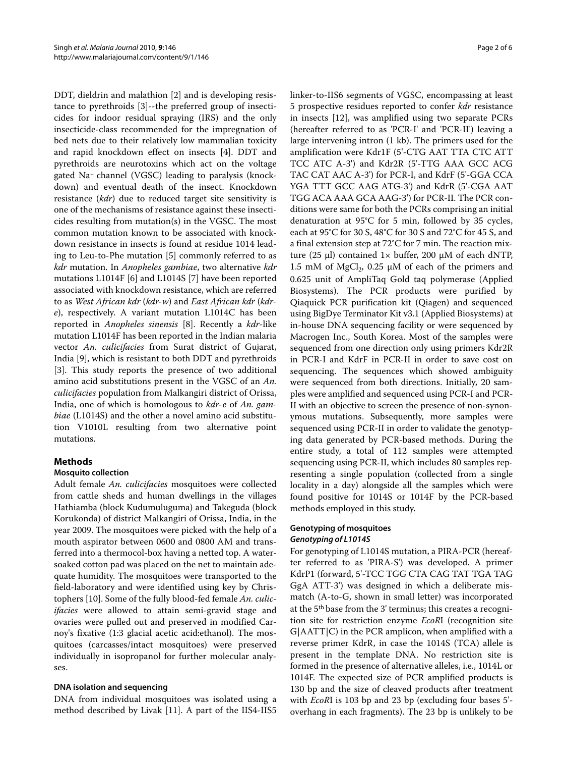DDT, dieldrin and malathion [\[2](#page-5-1)] and is developing resistance to pyrethroids [[3\]](#page-5-2)--the preferred group of insecticides for indoor residual spraying (IRS) and the only insecticide-class recommended for the impregnation of bed nets due to their relatively low mammalian toxicity and rapid knockdown effect on insects [[4](#page-5-3)]. DDT and pyrethroids are neurotoxins which act on the voltage gated Na+ channel (VGSC) leading to paralysis (knockdown) and eventual death of the insect. Knockdown resistance (*kdr*) due to reduced target site sensitivity is one of the mechanisms of resistance against these insecticides resulting from mutation(s) in the VGSC. The most common mutation known to be associated with knockdown resistance in insects is found at residue 1014 leading to Leu-to-Phe mutation [\[5](#page-5-4)] commonly referred to as *kdr* mutation. In *Anopheles gambiae*, two alternative *kdr* mutations L1014F [[6\]](#page-5-5) and L1014S [[7\]](#page-5-6) have been reported associated with knockdown resistance, which are referred to as *West African kdr* (*kdr-w*) and *East African kdr* (*kdre*), respectively. A variant mutation L1014C has been reported in *Anopheles sinensis* [[8\]](#page-5-7). Recently a *kdr*-like mutation L1014F has been reported in the Indian malaria vector *An. culicifacies* from Surat district of Gujarat, India [[9](#page-5-8)], which is resistant to both DDT and pyrethroids [[3\]](#page-5-2). This study reports the presence of two additional amino acid substitutions present in the VGSC of an *An. culicifacies* population from Malkangiri district of Orissa, India, one of which is homologous to *kdr-e* of *An. gambiae* (L1014S) and the other a novel amino acid substitution V1010L resulting from two alternative point mutations.

# **Methods**

# **Mosquito collection**

Adult female *An. culicifacies* mosquitoes were collected from cattle sheds and human dwellings in the villages Hathiamba (block Kudumuluguma) and Takeguda (block Korukonda) of district Malkangiri of Orissa, India, in the year 2009. The mosquitoes were picked with the help of a mouth aspirator between 0600 and 0800 AM and transferred into a thermocol-box having a netted top. A watersoaked cotton pad was placed on the net to maintain adequate humidity. The mosquitoes were transported to the field-laboratory and were identified using key by Christophers [[10\]](#page-5-9). Some of the fully blood-fed female *An. culicifacies* were allowed to attain semi-gravid stage and ovaries were pulled out and preserved in modified Carnoy's fixative (1:3 glacial acetic acid:ethanol). The mosquitoes (carcasses/intact mosquitoes) were preserved individually in isopropanol for further molecular analyses.

# **DNA isolation and sequencing**

DNA from individual mosquitoes was isolated using a method described by Livak [[11\]](#page-5-10). A part of the IIS4-IIS5 linker-to-IIS6 segments of VGSC, encompassing at least 5 prospective residues reported to confer *kdr* resistance in insects [\[12\]](#page-5-11), was amplified using two separate PCRs (hereafter referred to as 'PCR-I' and 'PCR-II') leaving a large intervening intron (1 kb). The primers used for the amplification were Kdr1F (5'-CTG AAT TTA CTC ATT TCC ATC A-3') and Kdr2R (5'-TTG AAA GCC ACG TAC CAT AAC A-3') for PCR-I, and KdrF (5'-GGA CCA YGA TTT GCC AAG ATG-3') and KdrR (5'-CGA AAT TGG ACA AAA GCA AAG-3') for PCR-II. The PCR conditions were same for both the PCRs comprising an initial denaturation at 95°C for 5 min, followed by 35 cycles, each at 95°C for 30 S, 48°C for 30 S and 72°C for 45 S, and a final extension step at 72°C for 7 min. The reaction mixture (25 μl) contained  $1 \times$  buffer, 200 μM of each dNTP, 1.5 mM of MgCl<sub>2</sub>, 0.25  $\mu$ M of each of the primers and 0.625 unit of AmpliTaq Gold taq polymerase (Applied Biosystems). The PCR products were purified by Qiaquick PCR purification kit (Qiagen) and sequenced using BigDye Terminator Kit v3.1 (Applied Biosystems) at in-house DNA sequencing facility or were sequenced by Macrogen Inc., South Korea. Most of the samples were sequenced from one direction only using primers Kdr2R in PCR-I and KdrF in PCR-II in order to save cost on sequencing. The sequences which showed ambiguity were sequenced from both directions. Initially, 20 samples were amplified and sequenced using PCR-I and PCR-II with an objective to screen the presence of non-synonymous mutations. Subsequently, more samples were sequenced using PCR-II in order to validate the genotyping data generated by PCR-based methods. During the entire study, a total of 112 samples were attempted sequencing using PCR-II, which includes 80 samples representing a single population (collected from a single locality in a day) alongside all the samples which were found positive for 1014S or 1014F by the PCR-based methods employed in this study.

# **Genotyping of mosquitoes Genotyping of L1014S**

For genotyping of L1014S mutation, a PIRA-PCR (hereafter referred to as 'PIRA-S') was developed. A primer KdrP1 (forward, 5'-TCC TGG CTA CAG TAT TGA TAG GgA ATT-3') was designed in which a deliberate mismatch (A-to-G, shown in small letter) was incorporated at the 5th base from the 3' terminus; this creates a recognition site for restriction enzyme *EcoR*I (recognition site G|AATT|C) in the PCR amplicon, when amplified with a reverse primer KdrR, in case the 1014S (TCA) allele is present in the template DNA. No restriction site is formed in the presence of alternative alleles, i.e., 1014L or 1014F. The expected size of PCR amplified products is 130 bp and the size of cleaved products after treatment with *EcoR*I is 103 bp and 23 bp (excluding four bases 5' overhang in each fragments). The 23 bp is unlikely to be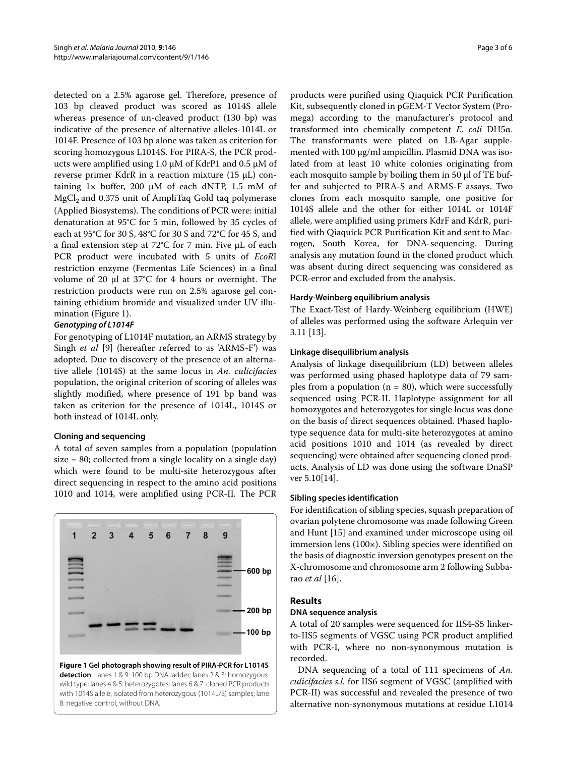detected on a 2.5% agarose gel. Therefore, presence of 103 bp cleaved product was scored as 1014S allele whereas presence of un-cleaved product (130 bp) was indicative of the presence of alternative alleles-1014L or 1014F. Presence of 103 bp alone was taken as criterion for scoring homozygous L1014S. For PIRA-S, the PCR products were amplified using 1.0  $\mu$ M of KdrP1 and 0.5  $\mu$ M of reverse primer KdrR in a reaction mixture (15 μL) containing  $1 \times$  buffer, 200  $\mu$ M of each dNTP, 1.5 mM of  $MgCl<sub>2</sub>$  and 0.375 unit of AmpliTaq Gold taq polymerase (Applied Biosystems). The conditions of PCR were: initial denaturation at 95°C for 5 min, followed by 35 cycles of each at 95°C for 30 S, 48°C for 30 S and 72°C for 45 S, and a final extension step at 72°C for 7 min. Five μL of each PCR product were incubated with 5 units of *EcoR*I restriction enzyme (Fermentas Life Sciences) in a final volume of 20 μl at 37°C for 4 hours or overnight. The restriction products were run on 2.5% agarose gel containing ethidium bromide and visualized under UV illumination (Figure [1](#page-2-0)).

#### **Genotyping of L1014F**

For genotyping of L1014F mutation, an ARMS strategy by Singh *et al* [[9\]](#page-5-8) (hereafter referred to as 'ARMS-F') was adopted. Due to discovery of the presence of an alternative allele (1014S) at the same locus in *An. culicifacies* population, the original criterion of scoring of alleles was slightly modified, where presence of 191 bp band was taken as criterion for the presence of 1014L, 1014S or both instead of 1014L only.

# **Cloning and sequencing**

A total of seven samples from a population (population size = 80; collected from a single locality on a single day) which were found to be multi-site heterozygous after direct sequencing in respect to the amino acid positions 1010 and 1014, were amplified using PCR-II. The PCR

<span id="page-2-0"></span>

**Figure 1 Gel photograph showing result of PIRA-PCR for L1014S detection**. Lanes 1 & 9: 100 bp DNA ladder; lanes 2 & 3: homozygous wild type; lanes 4 & 5: heterozygotes; lanes 6 & 7: cloned PCR products with 1014S allele, isolated from heterozygous (1014L/S) samples; lane 8: negative control, without DNA.

products were purified using Qiaquick PCR Purification Kit, subsequently cloned in pGEM-T Vector System (Promega) according to the manufacturer's protocol and transformed into chemically competent *E. coli* DH5α. The transformants were plated on LB-Agar supplemented with 100 μg/ml ampicillin. Plasmid DNA was isolated from at least 10 white colonies originating from each mosquito sample by boiling them in 50 μl of TE buffer and subjected to PIRA-S and ARMS-F assays. Two clones from each mosquito sample, one positive for 1014S allele and the other for either 1014L or 1014F allele, were amplified using primers KdrF and KdrR, purified with Qiaquick PCR Purification Kit and sent to Macrogen, South Korea, for DNA-sequencing. During analysis any mutation found in the cloned product which was absent during direct sequencing was considered as PCR-error and excluded from the analysis.

#### **Hardy-Weinberg equilibrium analysis**

The Exact-Test of Hardy-Weinberg equilibrium (HWE) of alleles was performed using the software Arlequin ver 3.11 [\[13](#page-5-12)].

#### **Linkage disequilibrium analysis**

Analysis of linkage disequilibrium (LD) between alleles was performed using phased haplotype data of 79 samples from a population ( $n = 80$ ), which were successfully sequenced using PCR-II. Haplotype assignment for all homozygotes and heterozygotes for single locus was done on the basis of direct sequences obtained. Phased haplotype sequence data for multi-site heterozygotes at amino acid positions 1010 and 1014 (as revealed by direct sequencing) were obtained after sequencing cloned products. Analysis of LD was done using the software DnaSP ver 5.10[[14\]](#page-5-13).

#### **Sibling species identification**

For identification of sibling species, squash preparation of ovarian polytene chromosome was made following Green and Hunt [[15\]](#page-5-14) and examined under microscope using oil immersion lens (100×). Sibling species were identified on the basis of diagnostic inversion genotypes present on the X-chromosome and chromosome arm 2 following Subbarao *et al* [\[16](#page-5-15)].

# **Results**

#### **DNA sequence analysis**

A total of 20 samples were sequenced for IIS4-S5 linkerto-IIS5 segments of VGSC using PCR product amplified with PCR-I, where no non-synonymous mutation is recorded.

DNA sequencing of a total of 111 specimens of *An. culicifacies s.l.* for IIS6 segment of VGSC (amplified with PCR-II) was successful and revealed the presence of two alternative non-synonymous mutations at residue L1014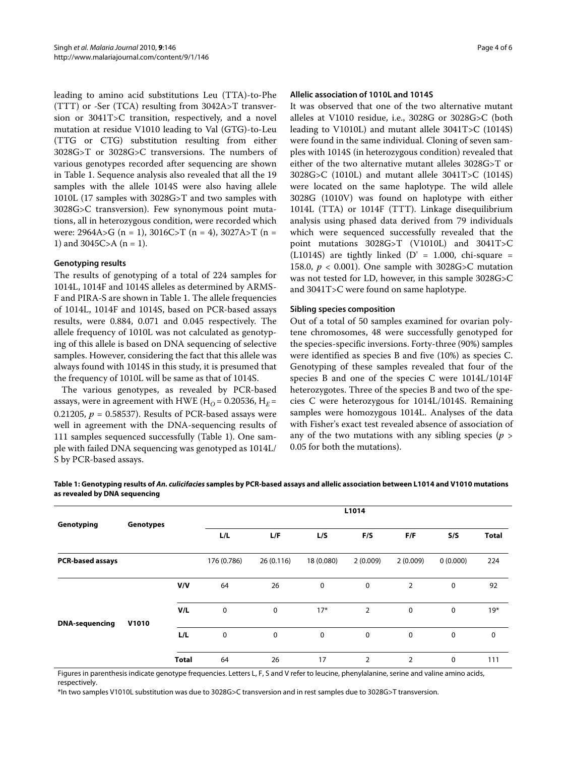leading to amino acid substitutions Leu (TTA)-to-Phe (TTT) or -Ser (TCA) resulting from 3042A>T transversion or 3041T>C transition, respectively, and a novel mutation at residue V1010 leading to Val (GTG)-to-Leu (TTG or CTG) substitution resulting from either 3028G>T or 3028G>C transversions. The numbers of various genotypes recorded after sequencing are shown in Table 1. Sequence analysis also revealed that all the 19 samples with the allele 1014S were also having allele 1010L (17 samples with 3028G>T and two samples with 3028G>C transversion). Few synonymous point mutations, all in heterozygous condition, were recorded which were:  $2964A > G$  (n = 1),  $3016C > T$  (n = 4),  $3027A > T$  (n = 1) and 3045C>A ( $n = 1$ ).

#### **Genotyping results**

The results of genotyping of a total of 224 samples for 1014L, 1014F and 1014S alleles as determined by ARMS-F and PIRA-S are shown in Table [1](#page-3-0). The allele frequencies of 1014L, 1014F and 1014S, based on PCR-based assays results, were 0.884, 0.071 and 0.045 respectively. The allele frequency of 1010L was not calculated as genotyping of this allele is based on DNA sequencing of selective samples. However, considering the fact that this allele was always found with 1014S in this study, it is presumed that the frequency of 1010L will be same as that of 1014S.

The various genotypes, as revealed by PCR-based assays, were in agreement with HWE ( $H<sub>O</sub>$  = 0.20536,  $H<sub>E</sub>$  = 0.21205,  $p = 0.58537$ . Results of PCR-based assays were well in agreement with the DNA-sequencing results of 111 samples sequenced successfully (Table 1). One sample with failed DNA sequencing was genotyped as 1014L/ S by PCR-based assays.

#### **Allelic association of 1010L and 1014S**

It was observed that one of the two alternative mutant alleles at V1010 residue, i.e., 3028G or 3028G>C (both leading to V1010L) and mutant allele 3041T>C (1014S) were found in the same individual. Cloning of seven samples with 1014S (in heterozygous condition) revealed that either of the two alternative mutant alleles 3028G>T or 3028G>C (1010L) and mutant allele 3041T>C (1014S) were located on the same haplotype. The wild allele 3028G (1010V) was found on haplotype with either 1014L (TTA) or 1014F (TTT). Linkage disequilibrium analysis using phased data derived from 79 individuals which were sequenced successfully revealed that the point mutations 3028G>T (V1010L) and 3041T>C (L1014S) are tightly linked (D' = 1.000, chi-square = 158.0, *p* < 0.001). One sample with 3028G>C mutation was not tested for LD, however, in this sample 3028G>C and 3041T>C were found on same haplotype.

#### **Sibling species composition**

Out of a total of 50 samples examined for ovarian polytene chromosomes, 48 were successfully genotyped for the species-specific inversions. Forty-three (90%) samples were identified as species B and five (10%) as species C. Genotyping of these samples revealed that four of the species B and one of the species C were 1014L/1014F heterozygotes. Three of the species B and two of the species C were heterozygous for 1014L/1014S. Remaining samples were homozygous 1014L. Analyses of the data with Fisher's exact test revealed absence of association of any of the two mutations with any sibling species (*p* > 0.05 for both the mutations).

| Genotyping              | Genotypes |              | L1014       |             |             |                |                |             |              |
|-------------------------|-----------|--------------|-------------|-------------|-------------|----------------|----------------|-------------|--------------|
|                         |           |              | L/L         | L/F         | L/S         | F/S            | F/F            | S/S         | <b>Total</b> |
| <b>PCR-based assays</b> |           |              | 176 (0.786) | 26(0.116)   | 18 (0.080)  | 2(0.009)       | 2(0.009)       | 0(0.000)    | 224          |
| <b>DNA-sequencing</b>   |           | V/V          | 64          | 26          | $\mathbf 0$ | $\mathbf 0$    | $\overline{2}$ | $\mathbf 0$ | 92           |
|                         |           | V/L          | $\mathbf 0$ | $\mathbf 0$ | $17*$       | $\overline{2}$ | $\mathbf 0$    | $\mathbf 0$ | $19*$        |
|                         | V1010     | L/L          | $\mathbf 0$ | $\mathbf 0$ | $\mathbf 0$ | $\mathbf 0$    | $\mathbf 0$    | 0           | 0            |
|                         |           | <b>Total</b> | 64          | 26          | 17          | $\overline{2}$ | 2              | 0           | 111          |

<span id="page-3-0"></span>**Table 1: Genotyping results of An. culicifacies samples by PCR-based assays and allelic association between L1014 and V1010 mutations as revealed by DNA sequencing**

Figures in parenthesis indicate genotype frequencies. Letters L, F, S and V refer to leucine, phenylalanine, serine and valine amino acids, respectively.

\*In two samples V1010L substitution was due to 3028G>C transversion and in rest samples due to 3028G>T transversion.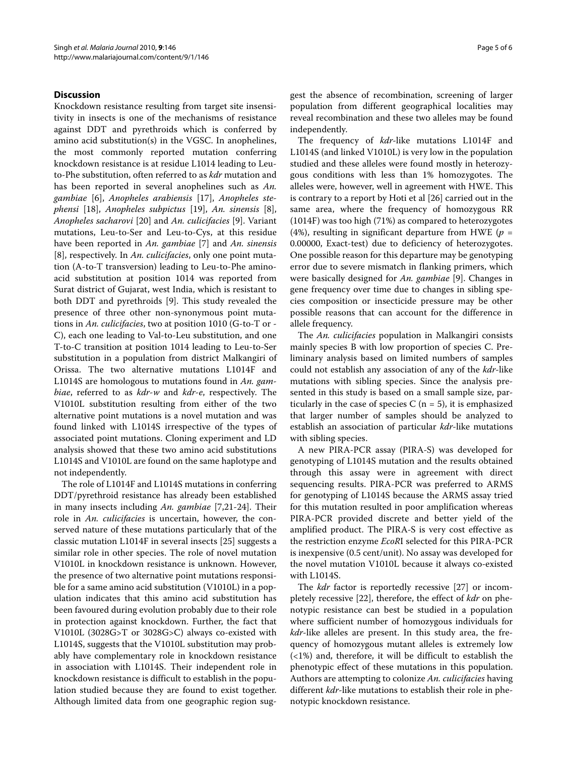#### **Discussion**

Knockdown resistance resulting from target site insensitivity in insects is one of the mechanisms of resistance against DDT and pyrethroids which is conferred by amino acid substitution(s) in the VGSC. In anophelines, the most commonly reported mutation conferring knockdown resistance is at residue L1014 leading to Leuto-Phe substitution, often referred to as *kdr* mutation and has been reported in several anophelines such as *An. gambiae* [\[6](#page-5-5)], *Anopheles arabiensis* [[17\]](#page-5-16), *Anopheles stephensi* [[18\]](#page-5-17), *Anopheles subpictus* [[19\]](#page-5-18), *An. sinensis* [\[8](#page-5-7)], *Anopheles sacharovi* [[20\]](#page-5-19) and *An. culicifacies* [\[9](#page-5-8)]. Variant mutations, Leu-to-Ser and Leu-to-Cys, at this residue have been reported in *An. gambiae* [[7\]](#page-5-6) and *An. sinensis* [[8\]](#page-5-7), respectively. In *An. culicifacies*, only one point mutation (A-to-T transversion) leading to Leu-to-Phe aminoacid substitution at position 1014 was reported from Surat district of Gujarat, west India, which is resistant to both DDT and pyrethroids [\[9](#page-5-8)]. This study revealed the presence of three other non-synonymous point mutations in *An. culicifacies*, two at position 1010 (G-to-T or - C), each one leading to Val-to-Leu substitution, and one T-to-C transition at position 1014 leading to Leu-to-Ser substitution in a population from district Malkangiri of Orissa. The two alternative mutations L1014F and L1014S are homologous to mutations found in *An. gambiae*, referred to as *kdr-w* and *kdr-e*, respectively. The V1010L substitution resulting from either of the two alternative point mutations is a novel mutation and was found linked with L1014S irrespective of the types of associated point mutations. Cloning experiment and LD analysis showed that these two amino acid substitutions L1014S and V1010L are found on the same haplotype and not independently.

The role of L1014F and L1014S mutations in conferring DDT/pyrethroid resistance has already been established in many insects including *An. gambiae* [\[7](#page-5-6)[,21](#page-5-20)-[24\]](#page-5-21). Their role in *An. culicifacies* is uncertain, however, the conserved nature of these mutations particularly that of the classic mutation L1014F in several insects [[25\]](#page-5-22) suggests a similar role in other species. The role of novel mutation V1010L in knockdown resistance is unknown. However, the presence of two alternative point mutations responsible for a same amino acid substitution (V1010L) in a population indicates that this amino acid substitution has been favoured during evolution probably due to their role in protection against knockdown. Further, the fact that V1010L (3028G>T or 3028G>C) always co-existed with L1014S, suggests that the V1010L substitution may probably have complementary role in knockdown resistance in association with L1014S. Their independent role in knockdown resistance is difficult to establish in the population studied because they are found to exist together. Although limited data from one geographic region sug-

gest the absence of recombination, screening of larger population from different geographical localities may reveal recombination and these two alleles may be found independently.

The frequency of *kdr*-like mutations L1014F and L1014S (and linked V1010L) is very low in the population studied and these alleles were found mostly in heterozygous conditions with less than 1% homozygotes. The alleles were, however, well in agreement with HWE. This is contrary to a report by Hoti et al [\[26](#page-5-23)] carried out in the same area, where the frequency of homozygous RR (1014F) was too high (71%) as compared to heterozygotes (4%), resulting in significant departure from HWE (*p* = 0.00000, Exact-test) due to deficiency of heterozygotes. One possible reason for this departure may be genotyping error due to severe mismatch in flanking primers, which were basically designed for *An. gambiae* [[9](#page-5-8)]. Changes in gene frequency over time due to changes in sibling species composition or insecticide pressure may be other possible reasons that can account for the difference in allele frequency.

The *An. culicifacies* population in Malkangiri consists mainly species B with low proportion of species C. Preliminary analysis based on limited numbers of samples could not establish any association of any of the *kdr*-like mutations with sibling species. Since the analysis presented in this study is based on a small sample size, particularly in the case of species  $C$  (n = 5), it is emphasized that larger number of samples should be analyzed to establish an association of particular *kdr*-like mutations with sibling species.

A new PIRA-PCR assay (PIRA-S) was developed for genotyping of L1014S mutation and the results obtained through this assay were in agreement with direct sequencing results. PIRA-PCR was preferred to ARMS for genotyping of L1014S because the ARMS assay tried for this mutation resulted in poor amplification whereas PIRA-PCR provided discrete and better yield of the amplified product. The PIRA-S is very cost effective as the restriction enzyme *EcoR*I selected for this PIRA-PCR is inexpensive (0.5 cent/unit). No assay was developed for the novel mutation V1010L because it always co-existed with L1014S.

The *kdr* factor is reportedly recessive [\[27](#page-5-24)] or incompletely recessive [[22\]](#page-5-25), therefore, the effect of *kdr* on phenotypic resistance can best be studied in a population where sufficient number of homozygous individuals for *kdr*-like alleles are present. In this study area, the frequency of homozygous mutant alleles is extremely low  $\left($  <1%) and, therefore, it will be difficult to establish the phenotypic effect of these mutations in this population. Authors are attempting to colonize *An. culicifacies* having different *kdr*-like mutations to establish their role in phenotypic knockdown resistance.